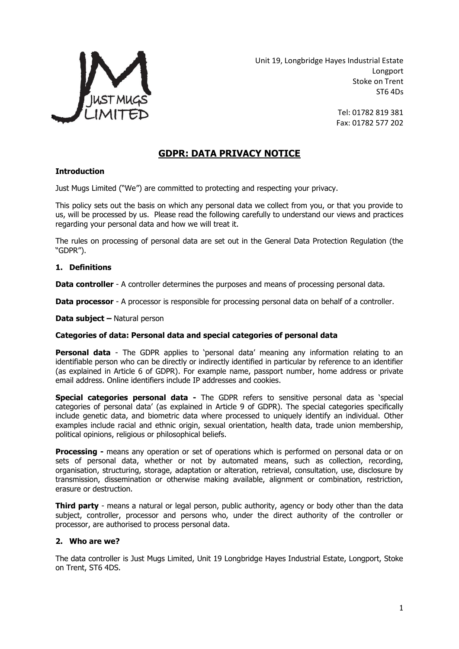

Unit 19, Longbridge Hayes Industrial Estate Longport Stoke on Trent ST6 4Ds

> Tel: 01782 819 381 Fax: 01782 577 202

# **GDPR: DATA PRIVACY NOTICE**

## **Introduction**

Just Mugs Limited ("We") are committed to protecting and respecting your privacy.

This policy sets out the basis on which any personal data we collect from you, or that you provide to us, will be processed by us. Please read the following carefully to understand our views and practices regarding your personal data and how we will treat it.

The rules on processing of personal data are set out in the General Data Protection Regulation (the "GDPR").

#### **1. Definitions**

**Data controller** - A controller determines the purposes and means of processing personal data.

**Data processor** - A processor is responsible for processing personal data on behalf of a controller.

**Data subject –** Natural person

#### **Categories of data: Personal data and special categories of personal data**

**Personal data** - The GDPR applies to 'personal data' meaning any information relating to an identifiable person who can be directly or indirectly identified in particular by reference to an identifier (as explained in Article 6 of GDPR). For example name, passport number, home address or private email address. Online identifiers include IP addresses and cookies.

**Special categories personal data -** The GDPR refers to sensitive personal data as 'special categories of personal data' (as explained in Article 9 of GDPR). The special categories specifically include genetic data, and biometric data where processed to uniquely identify an individual. Other examples include racial and ethnic origin, sexual orientation, health data, trade union membership, political opinions, religious or philosophical beliefs.

**Processing -** means any operation or set of operations which is performed on personal data or on sets of personal data, whether or not by automated means, such as collection, recording, organisation, structuring, storage, adaptation or alteration, retrieval, consultation, use, disclosure by transmission, dissemination or otherwise making available, alignment or combination, restriction, erasure or destruction.

**Third party** - means a natural or legal person, public authority, agency or body other than the data subject, controller, processor and persons who, under the direct authority of the controller or processor, are authorised to process personal data.

#### **2. Who are we?**

The data controller is Just Mugs Limited, Unit 19 Longbridge Hayes Industrial Estate, Longport, Stoke on Trent, ST6 4DS.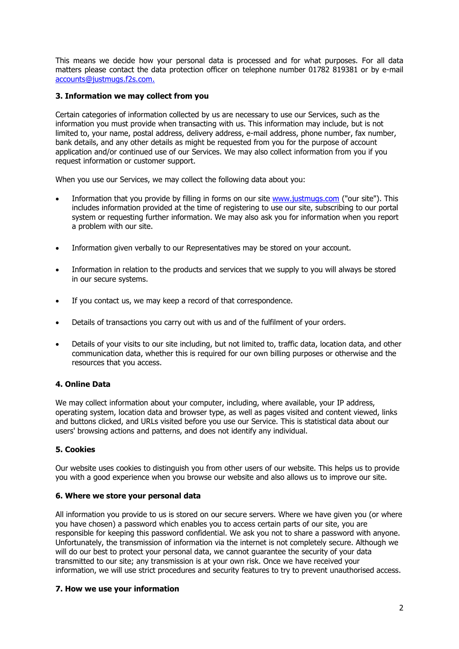This means we decide how your personal data is processed and for what purposes. For all data matters please contact the data protection officer on telephone number 01782 819381 or by e-mail [accounts@justmugs.f2s.com.](mailto:accounts@justmugs.f2s.com)

## **3. Information we may collect from you**

Certain categories of information collected by us are necessary to use our Services, such as the information you must provide when transacting with us. This information may include, but is not limited to, your name, postal address, delivery address, e-mail address, phone number, fax number, bank details, and any other details as might be requested from you for the purpose of account application and/or continued use of our Services. We may also collect information from you if you request information or customer support.

When you use our Services, we may collect the following data about you:

- Information that you provide by filling in forms on our site [www.justmugs.com](http://www.justmugs.com/) ("our site"). This includes information provided at the time of registering to use our site, subscribing to our portal system or requesting further information. We may also ask you for information when you report a problem with our site.
- Information given verbally to our Representatives may be stored on your account.
- Information in relation to the products and services that we supply to you will always be stored in our secure systems.
- If you contact us, we may keep a record of that correspondence.
- Details of transactions you carry out with us and of the fulfilment of your orders.
- Details of your visits to our site including, but not limited to, traffic data, location data, and other communication data, whether this is required for our own billing purposes or otherwise and the resources that you access.

# **4. Online Data**

We may collect information about your computer, including, where available, your IP address, operating system, location data and browser type, as well as pages visited and content viewed, links and buttons clicked, and URLs visited before you use our Service. This is statistical data about our users' browsing actions and patterns, and does not identify any individual.

#### **5. Cookies**

Our website uses cookies to distinguish you from other users of our website. This helps us to provide you with a good experience when you browse our website and also allows us to improve our site.

#### **6. Where we store your personal data**

All information you provide to us is stored on our secure servers. Where we have given you (or where you have chosen) a password which enables you to access certain parts of our site, you are responsible for keeping this password confidential. We ask you not to share a password with anyone. Unfortunately, the transmission of information via the internet is not completely secure. Although we will do our best to protect your personal data, we cannot guarantee the security of your data transmitted to our site; any transmission is at your own risk. Once we have received your information, we will use strict procedures and security features to try to prevent unauthorised access.

#### **7. How we use your information**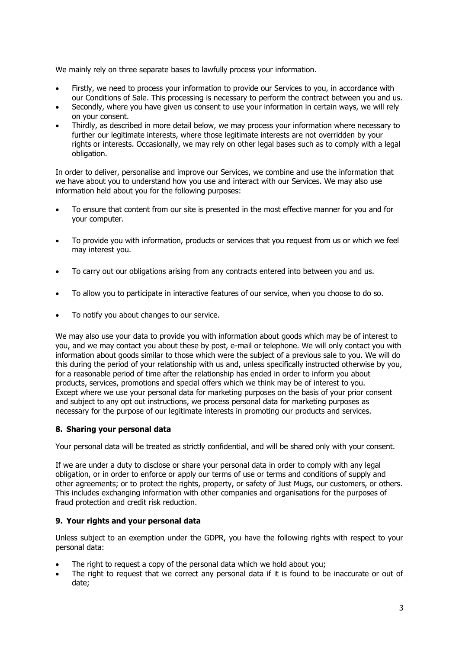We mainly rely on three separate bases to lawfully process your information.

- Firstly, we need to process your information to provide our Services to you, in accordance with our Conditions of Sale. This processing is necessary to perform the contract between you and us.
- Secondly, where you have given us consent to use your information in certain ways, we will rely on your consent.
- Thirdly, as described in more detail below, we may process your information where necessary to further our legitimate interests, where those legitimate interests are not overridden by your rights or interests. Occasionally, we may rely on other legal bases such as to comply with a legal obligation.

In order to deliver, personalise and improve our Services, we combine and use the information that we have about you to understand how you use and interact with our Services. We may also use information held about you for the following purposes:

- To ensure that content from our site is presented in the most effective manner for you and for your computer.
- To provide you with information, products or services that you request from us or which we feel may interest you.
- To carry out our obligations arising from any contracts entered into between you and us.
- To allow you to participate in interactive features of our service, when you choose to do so.
- To notify you about changes to our service.

We may also use your data to provide you with information about goods which may be of interest to you, and we may contact you about these by post, e-mail or telephone. We will only contact you with information about goods similar to those which were the subject of a previous sale to you. We will do this during the period of your relationship with us and, unless specifically instructed otherwise by you, for a reasonable period of time after the relationship has ended in order to inform you about products, services, promotions and special offers which we think may be of interest to you. Except where we use your personal data for marketing purposes on the basis of your prior consent and subject to any opt out instructions, we process personal data for marketing purposes as necessary for the purpose of our legitimate interests in promoting our products and services.

# **8. Sharing your personal data**

Your personal data will be treated as strictly confidential, and will be shared only with your consent.

If we are under a duty to disclose or share your personal data in order to comply with any legal obligation, or in order to enforce or apply our terms of use or terms and conditions of supply and other agreements; or to protect the rights, property, or safety of Just Mugs, our customers, or others. This includes exchanging information with other companies and organisations for the purposes of fraud protection and credit risk reduction.

#### **9. Your rights and your personal data**

Unless subject to an exemption under the GDPR, you have the following rights with respect to your personal data:

- The right to request a copy of the personal data which we hold about you;
- The right to request that we correct any personal data if it is found to be inaccurate or out of date;